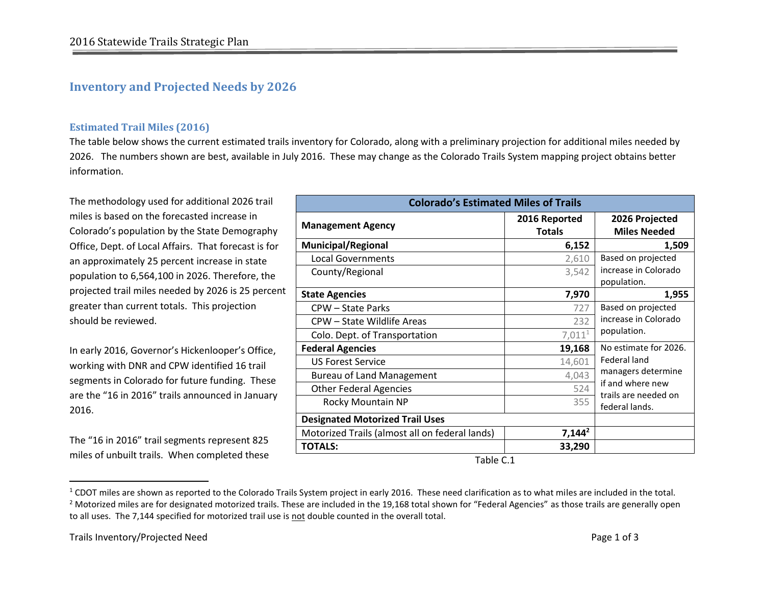## **Inventory and Projected Needs by 2026**

## **Estimated Trail Miles (2016)**

The table below shows the current estimated trails inventory for Colorado, along with a preliminary projection for additional miles needed by 2026. The numbers shown are best, available in July 2016. These may change as the Colorado Trails System mapping project obtains better information.

The methodology used for additional 2026 trail miles is based on the forecasted increase in Colorado's population by the State Demography Office, Dept. of Local Affairs. That forecast is for an approximately 25 percent increase in state population to 6,564,100 in 2026. Therefore, the projected trail miles needed by 2026 is 25 percent greater than current totals. This projection should be reviewed.

In early 2016, Governor's Hickenlooper's Office, working with DNR and CPW identified 16 trail segments in Colorado for future funding. These are the "16 in 2016" trails announced in January 2016.

The "16 in 2016" trail segments represent 825 miles of unbuilt trails. When completed these

| <b>Colorado's Estimated Miles of Trails</b>    |                                |                                                                                                  |
|------------------------------------------------|--------------------------------|--------------------------------------------------------------------------------------------------|
| <b>Management Agency</b>                       | 2016 Reported<br><b>Totals</b> | 2026 Projected<br><b>Miles Needed</b>                                                            |
| <b>Municipal/Regional</b>                      | 6,152                          | 1,509                                                                                            |
| <b>Local Governments</b>                       | 2,610                          | Based on projected                                                                               |
| County/Regional                                | 3,542                          | increase in Colorado<br>population.                                                              |
| <b>State Agencies</b>                          | 7,970                          | 1,955                                                                                            |
| CPW - State Parks                              | 727                            | Based on projected<br>increase in Colorado                                                       |
| CPW - State Wildlife Areas                     | 232                            |                                                                                                  |
| Colo. Dept. of Transportation                  | $7,011^1$                      | population.                                                                                      |
| <b>Federal Agencies</b>                        | 19,168                         | No estimate for 2026.                                                                            |
| <b>US Forest Service</b>                       | 14,601                         | Federal land<br>managers determine<br>if and where new<br>trails are needed on<br>federal lands. |
| <b>Bureau of Land Management</b>               | 4,043                          |                                                                                                  |
| <b>Other Federal Agencies</b>                  | 524                            |                                                                                                  |
| Rocky Mountain NP                              | 355                            |                                                                                                  |
| <b>Designated Motorized Trail Uses</b>         |                                |                                                                                                  |
| Motorized Trails (almost all on federal lands) | $7,144^2$                      |                                                                                                  |
| <b>TOTALS:</b>                                 | 33,290                         |                                                                                                  |

Table C.1

 $\overline{\phantom{a}}$ 

 $1$  CDOT miles are shown as reported to the Colorado Trails System project in early 2016. These need clarification as to what miles are included in the total.  $<sup>2</sup>$  Motorized miles are for designated motorized trails. These are included in the 19,168 total shown for "Federal Agencies" as those trails are generally open</sup> to all uses. The 7,144 specified for motorized trail use is not double counted in the overall total.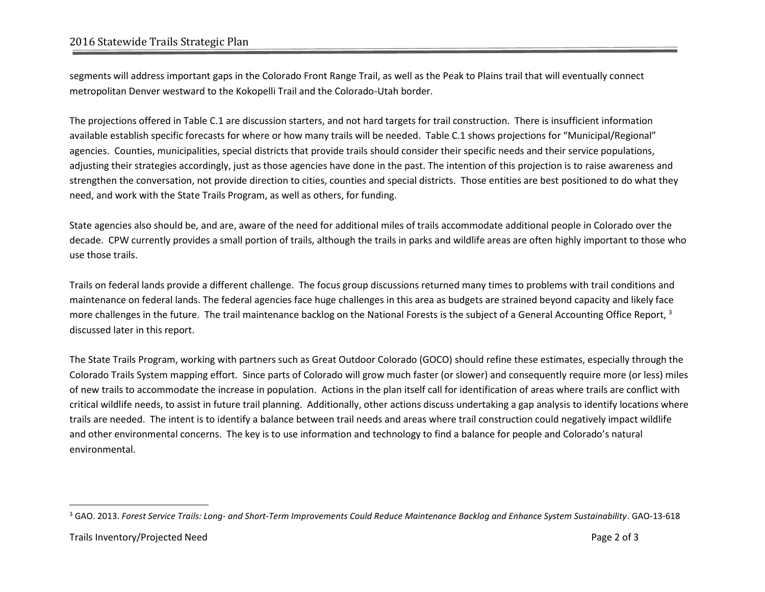## 2016 Statewide Trails Strategic Plan

segments will address important gaps in the Colorado Front Range Trail, as well as the Peak to Plains trail that will eventually connect metropolitan Denver westward to the Kokopelli Trail and the Colorado-Utah border.

The projections offered in Table C.1 are discussion starters, and not hard targets for trail construction. There is insufficient information available establish specific forecasts for where or how many trails will be needed. Table C.1 shows projections for "Municipal/Regional" agencies. Counties, municipalities, special districts that provide trails should consider their specific needs and their service populations, adjusting their strategies accordingly, just as those agencies have done in the past. The intention of this projection is to raise awareness and strengthen the conversation, not provide direction to cities, counties and special districts. Those entities are best positioned to do what they need, and work with the State Trails Program, as well as others, for funding.

State agencies also should be, and are, aware of the need for additional miles of trails accommodate additional people in Colorado over the decade. CPW currently provides a small portion of trails, although the trails in parks and wildlife areas are often highly important to those who use those trails.

Trails on federal lands provide a different challenge. The focus group discussions returned many times to problems with trail conditions and maintenance on federal lands. The federal agencies face huge challenges in this area as budgets are strained beyond capacity and likely face more challenges in the future. The trail maintenance backlog on the National Forests is the subject of a General Accounting Office Report, 3 discussed later in this report.

The State Trails Program, working with partners such as Great Outdoor Colorado (GOCO) should refine these estimates, especially through the Colorado Trails System mapping effort. Since parts of Colorado will grow much faster (or slower) and consequently require more (or less) miles of new trails to accommodate the increase in population. Actions in the plan itself call for identification of areas where trails are conflict with critical wildlife needs, to assist in future trail planning. Additionally, other actions discuss undertaking a gap analysis to identify locations where trails are needed. The intent is to identify a balance between trail needs and areas where trail construction could negatively impact wildlife and other environmental concerns. The key is to use information and technology to find a balance for people and Colorado's natural environmental.

 $\overline{\phantom{a}}$ 

<sup>3</sup> GAO. 2013. *Forest Service Trails: Long- and Short-Term Improvements Could Reduce Maintenance Backlog and Enhance System Sustainability*. GAO-13-618